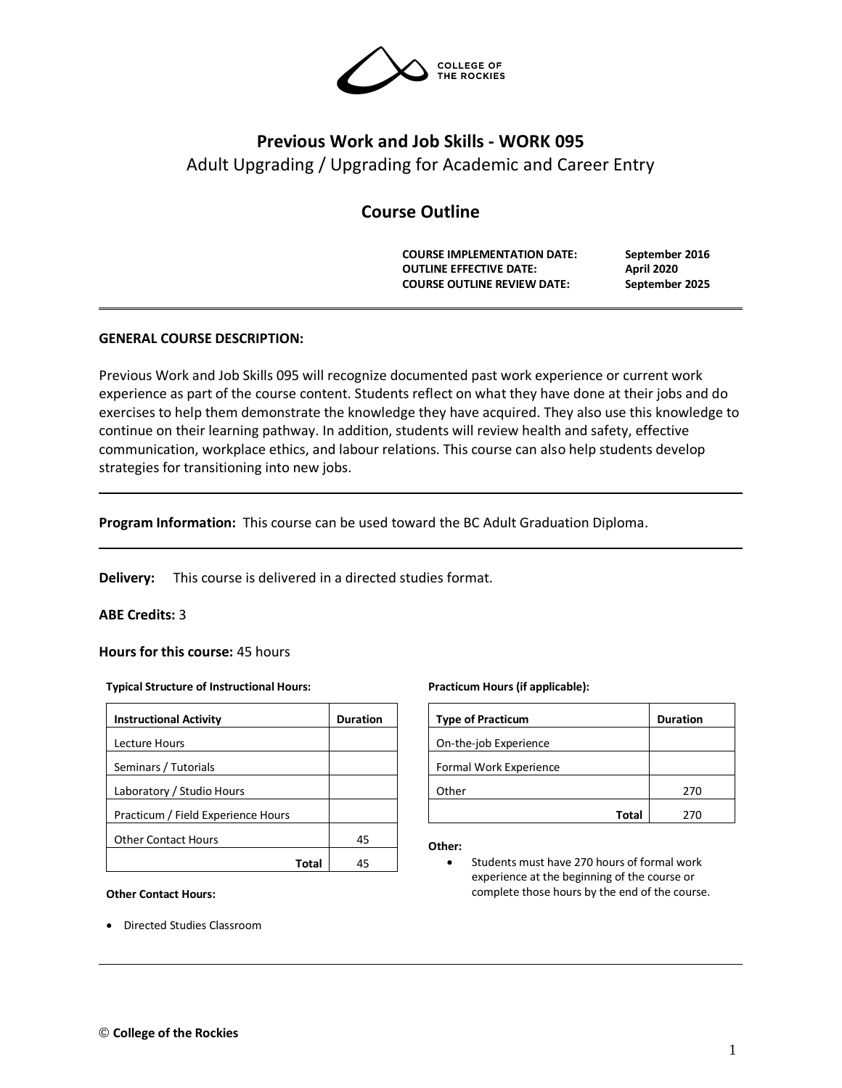

# **Previous Work and Job Skills - WORK 095** Adult Upgrading / Upgrading for Academic and Career Entry

# **Course Outline**

**COURSE IMPLEMENTATION DATE: September 2016 OUTLINE EFFECTIVE DATE: April 2020 COURSE OUTLINE REVIEW DATE: September 2025**

# **GENERAL COURSE DESCRIPTION:**

Previous Work and Job Skills 095 will recognize documented past work experience or current work experience as part of the course content. Students reflect on what they have done at their jobs and do exercises to help them demonstrate the knowledge they have acquired. They also use this knowledge to continue on their learning pathway. In addition, students will review health and safety, effective communication, workplace ethics, and labour relations. This course can also help students develop strategies for transitioning into new jobs.

**Program Information:** This course can be used toward the BC Adult Graduation Diploma.

**Delivery:** This course is delivered in a directed studies format.

### **ABE Credits:** 3

### **Hours for this course:** 45 hours

#### **Typical Structure of Instructional Hours:**

| <b>Instructional Activity</b>      | <b>Duration</b> |  |  |
|------------------------------------|-----------------|--|--|
| Lecture Hours                      |                 |  |  |
| Seminars / Tutorials               |                 |  |  |
| Laboratory / Studio Hours          |                 |  |  |
| Practicum / Field Experience Hours |                 |  |  |
| <b>Other Contact Hours</b>         | 45              |  |  |
|                                    |                 |  |  |

#### **Other Contact Hours:**

• Directed Studies Classroom

#### **Practicum Hours (if applicable):**

| <b>Type of Practicum</b> | <b>Duration</b> |
|--------------------------|-----------------|
| On-the-job Experience    |                 |
| Formal Work Experience   |                 |
| Other                    | 270             |
| Total                    | 270             |

#### **Other:**

• Students must have 270 hours of formal work experience at the beginning of the course or complete those hours by the end of the course.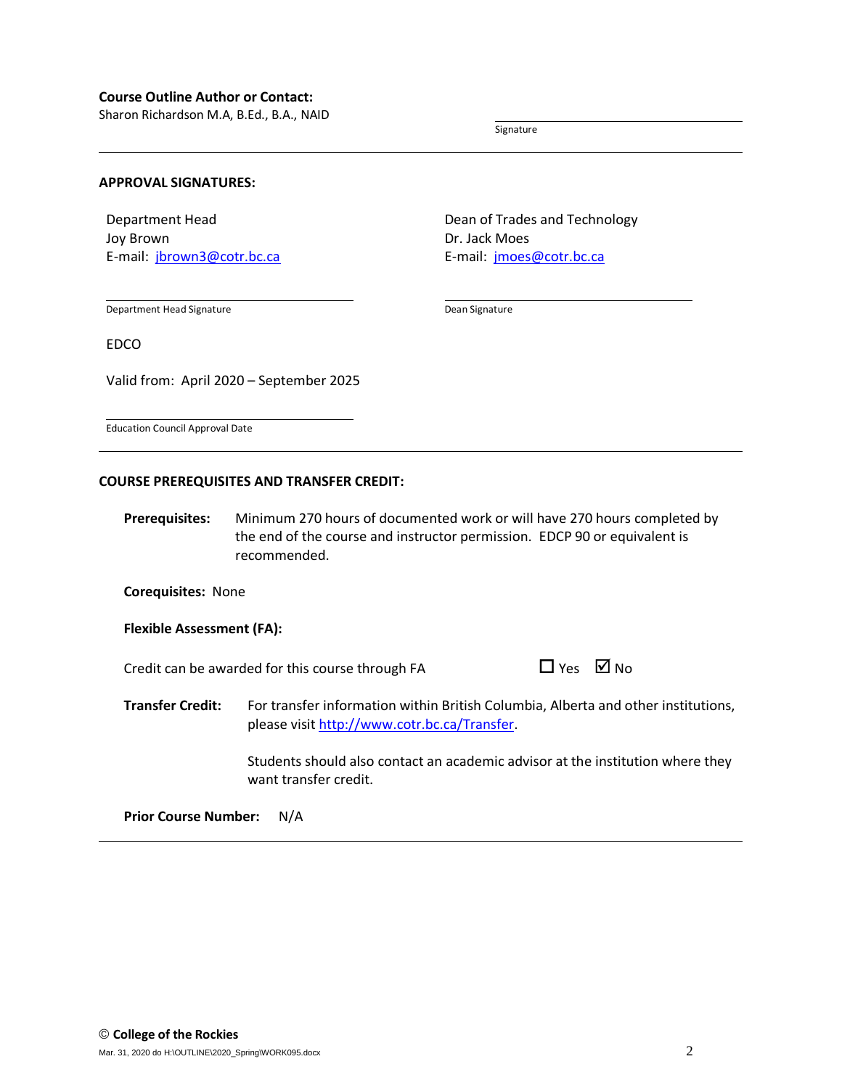Sharon Richardson M.A, B.Ed., B.A., NAID

Signature

## **APPROVAL SIGNATURES:**

Department Head Joy Brown E-mail: [jbrown3@cotr.bc.ca](mailto:jbrown3@cotr.bc.ca) Dean of Trades and Technology Dr. Jack Moes E-mail: [jmoes@cotr.bc.ca](mailto:jmoes@cotr.bc.ca)

Department Head Signature

Dean Signature

EDCO

Valid from: April 2020 – September 2025

Education Council Approval Date

#### **COURSE PREREQUISITES AND TRANSFER CREDIT:**

**Prerequisites:** Minimum 270 hours of documented work or will have 270 hours completed by the end of the course and instructor permission. EDCP 90 or equivalent is recommended.

**Corequisites:** None

**Flexible Assessment (FA):**

Credit can be awarded for this course through FA  $\Box$ 

| l Yes |  | ⊠ No |
|-------|--|------|
|-------|--|------|

**Transfer Credit:** For transfer information within British Columbia, Alberta and other institutions, please visit [http://www.cotr.bc.ca/Transfer.](http://www.cotr.bc.ca/Transfer)

> Students should also contact an academic advisor at the institution where they want transfer credit.

**Prior Course Number:** N/A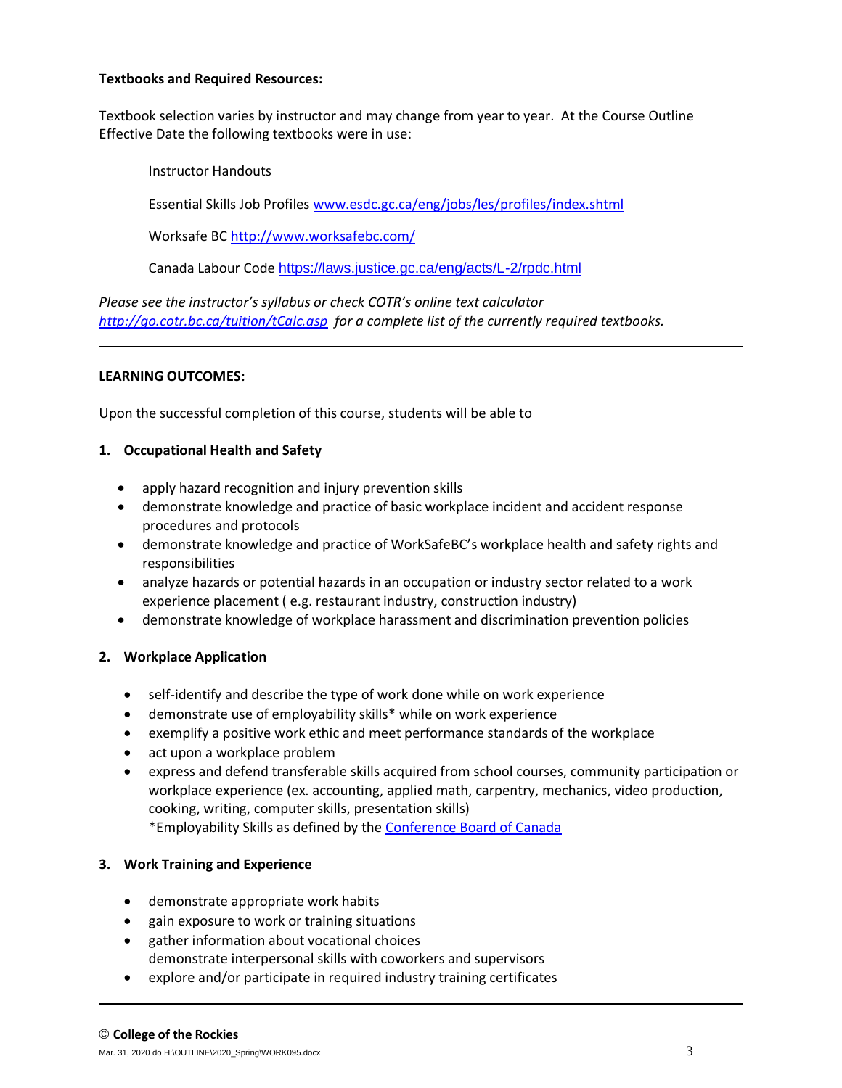# **Textbooks and Required Resources:**

Textbook selection varies by instructor and may change from year to year. At the Course Outline Effective Date the following textbooks were in use:

Instructor Handouts Essential Skills Job Profile[s www.esdc.gc.ca/eng/jobs/les/profiles/index.shtml](http://www.esdc.gc.ca/eng/jobs/les/profiles/index.shtml) Worksafe BC <http://www.worksafebc.com/>

Canada Labour Code <https://laws.justice.gc.ca/eng/acts/L-2/rpdc.html>

*Please see the instructor's syllabus or check COTR's online text calculator <http://go.cotr.bc.ca/tuition/tCalc.asp>for a complete list of the currently required textbooks.*

# **LEARNING OUTCOMES:**

Upon the successful completion of this course, students will be able to

# **1. Occupational Health and Safety**

- apply hazard recognition and injury prevention skills
- demonstrate knowledge and practice of basic workplace incident and accident response procedures and protocols
- demonstrate knowledge and practice of WorkSafeBC's workplace health and safety rights and responsibilities
- analyze hazards or potential hazards in an occupation or industry sector related to a work experience placement ( e.g. restaurant industry, construction industry)
- demonstrate knowledge of workplace harassment and discrimination prevention policies

# **2. Workplace Application**

- self-identify and describe the type of work done while on work experience
- demonstrate use of employability skills\* while on work experience
- exemplify a positive work ethic and meet performance standards of the workplace
- act upon a workplace problem
- express and defend transferable skills acquired from school courses, community participation or workplace experience (ex. accounting, applied math, carpentry, mechanics, video production, cooking, writing, computer skills, presentation skills) \*Employability Skills as defined by the [Conference Board of Canada](http://www.conferenceboard.ca/spse/employability-skills.aspx?AspxAutoDetectCookieSupport=1)

# **3. Work Training and Experience**

- demonstrate appropriate work habits
- gain exposure to work or training situations
- gather information about vocational choices demonstrate interpersonal skills with coworkers and supervisors
- explore and/or participate in required industry training certificates